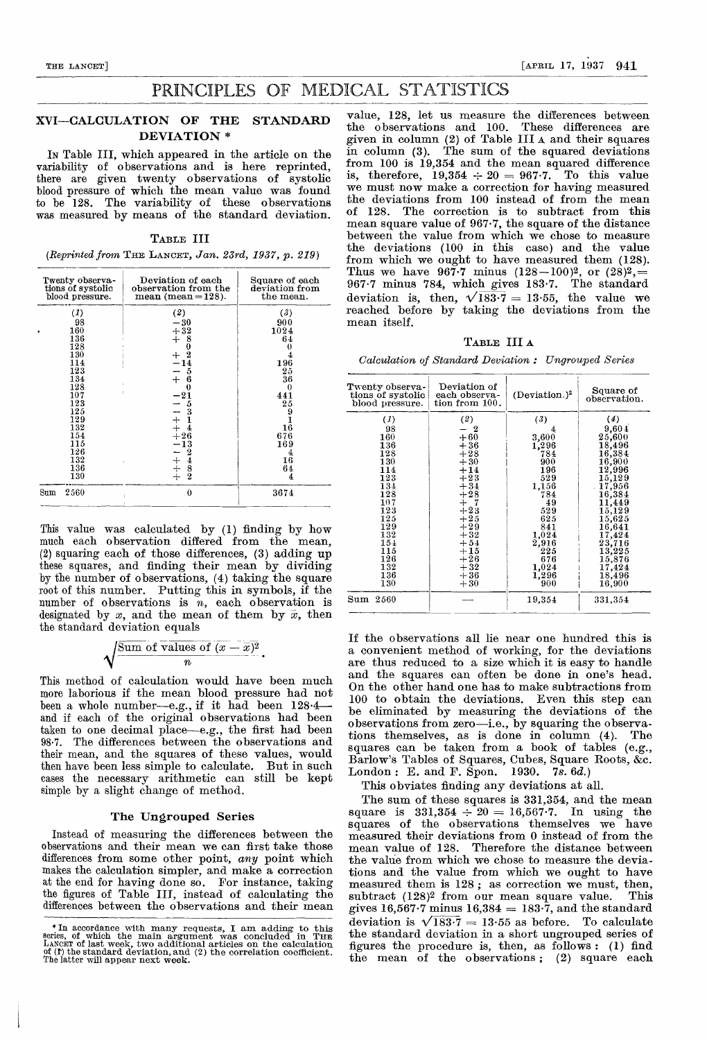# PRINCIPLES OF MEDICAL STATISTICS

### XVI—CALCULATION OF THE STANDARD DEVIATION \*

IN Table III, which appeared in the article on the variability of observations and is here reprinted, there are given twenty observations of systolic blood pressure of which the mean value was found to be 128. The variability of these observations was measured by means of the standard deviation.

TABLE III

 $(Reprinted from THE LANGET, Jan. 23rd, 1937, p. 219)$ 

| Twenty observa-<br>tions of systolic<br>blood pressure.                                                                                        | Deviation of each<br>observation from the<br>$mean (mean = 128).$                                                                                                                                 | Square of each<br>deviation from<br>the mean.                                                                                                                      |
|------------------------------------------------------------------------------------------------------------------------------------------------|---------------------------------------------------------------------------------------------------------------------------------------------------------------------------------------------------|--------------------------------------------------------------------------------------------------------------------------------------------------------------------|
| (1)<br>98<br>160<br>136<br>128<br>130<br>114<br>123<br>134<br>128<br>107<br>123<br>125<br>129<br>132<br>154<br>115<br>126<br>132<br>136<br>130 | (2)<br>$-30$<br>$+32$<br>$\frac{8}{0}$<br>$\div$<br>$rac{+}{-1}\frac{1}{4}$<br>6<br>$+$<br>$\bf{0}$<br>$-21$<br>5<br>$\frac{3}{1}$<br>$-4$<br>$+4$<br>$+26$<br>$-12$<br>$\frac{2}{8}$<br>$ +$ $+$ | (3)<br>900<br>1024<br>64<br>196<br>25<br>36<br>0<br>441<br>$^{25}$<br>9<br>$\frac{1}{16}$<br>676<br>169<br>$\begin{smallmatrix} &4\16\end{smallmatrix}$<br>64<br>4 |
| 2560<br>Sum                                                                                                                                    | 0                                                                                                                                                                                                 | 3674                                                                                                                                                               |

This value was calculated by (1) finding by how much each observation differed from the mean, (2) squaring each of those differences, (3) adding up these squares, and finding their mean by dividing by the number of observations, (4) taking the square root of this number. Putting this in symbols, if the number of observations is  $n$ , each observation is designated by x, and the mean of them by  $\bar{x}$ , then the standard deviation equals

$$
\sqrt{\frac{\text{Sum of values of } (x-\overline{x})^2}{n}}.
$$

This method of calculation would have been much more laborious if the mean blood pressure had not been a whole number-e.g., if it had been 128.4and if each of the original observations had been taken to one decimal place—e.g., the first had been<br>98.7. The differences between the observations and The differences between the observations and their mean, and the squares of these values, would then have been less simple to calculate. But in such cases the necessary arithmetic can still be kept simple by a slight change of method.

## The Ungrouped Series

Instead of measuring the differences between the observations and their mean we can first take those differences from some other point, any point which makes the calculation simpler, and make a correction the figures of Table III, instead of calculating the differences between the observations and their mean

value, 128, let us measure the differences between the observations and 100. These differences are given in column (2) of Table III A and their squares in column (3). The sum of the squared deviations from 100 is 19,354 and the mean squared difference is, therefore,  $19,354 \div 20 = 967.7$ . To this value we must now make a correction for having measured the deviations from 100 instead of from the mean of 128. The correction is to subtract from this mean square value of 967-7, the square of the distance between the value from which we chose to measure the deviations (100 in this case) and the value from which we ought to have measured them (128). Thus we have 967.7 minus  $(128-100)^2$ , or  $(28)^2$ ,  $967.7$  minus 784, which gives  $183.7$ . The standard deviation is, then,  $\sqrt{183.7} = 13.55$ , the value we reached before by taking the deviations from the mean itself.

TABLE III A

Calculation of Standard Deviation : Ungrouped Series

| Twenty observa-<br>tions of systolic<br>blood pressure.                                                                                   | Deviation of<br>each observa-<br>tion from $100$ .                                                                                                                           | (Deviation.) <sup>2</sup>                                                                                                                           | Square of<br>observation.                                                                                                                                                                                                                              |
|-------------------------------------------------------------------------------------------------------------------------------------------|------------------------------------------------------------------------------------------------------------------------------------------------------------------------------|-----------------------------------------------------------------------------------------------------------------------------------------------------|--------------------------------------------------------------------------------------------------------------------------------------------------------------------------------------------------------------------------------------------------------|
| (1)<br>98<br>160<br>136<br>128<br>130<br>114<br>123<br>134<br>128<br>107<br>123<br>125<br>129<br>132<br>$15+$<br>115<br>126<br>132<br>136 | (2)<br>- 2<br>$+60$<br>$+36$<br>$+28$<br>$+30$<br>$+14$<br>$+23$<br>$+34$<br>$+28$<br>$+$ 7<br>$+23$<br>$+25$<br>$+29$<br>$+32$<br>$+54$<br>$+15$<br>$+26$<br>$+32$<br>$+36$ | (3)<br>4<br>3,600<br>1,296<br>784<br>900<br>196<br>529<br>1,156<br>784<br>49<br>529<br>625<br>841<br>1,024<br>2,916<br>225<br>676<br>1,024<br>1,296 | (4)<br>9,604<br>25,600<br>18,496<br>$\textcolor{red}{\textbf{16.384}}\textcolor{white}{\bullet}$<br>16,900<br>12,996<br>15,129<br>17,956<br>16,384<br>11,449<br>15,129<br>15,625<br>16,641<br>17,424<br>23,716<br>13,225<br>15,876<br>17,424<br>18,496 |
| 130<br>$_{\rm Sum}$<br>2560                                                                                                               | $+30$                                                                                                                                                                        | 900<br>19,354                                                                                                                                       | 16,900<br>331,354                                                                                                                                                                                                                                      |

If the observations all lie near one hundred this is a convenient method of working, for the deviations are thus reduced to a size which it is easy to handle and the squares can often be done in one's head. On the other hand one has to make subtractions from 100 to obtain the deviations. Even this step can be eliminated by measuring the deviations of the observations from zero-i.e., by squaring the observations themselves, as is done in column (4). The squares can be taken from a book of tables (e.g., Barlow's Tables of Squares, Cubes, Square Roots, & London : E. and F. Spon. 1930. 7s. 6d.)

This obviates finding any deviations at all.

The sum of these squares is 331,354, and the mean  ${\rm square} \ \ \hbox{is} \ \ \ 331,\!354\,\div\,20\,=\,16,\!567{\cdot}7. \ \ \ \hbox{In} \ \ \ \hbox{using} \ \ \ \hbox{the}$ squares of the observations themselves we have measured their deviations from 0 instead of from the mean value of 128. Therefore the distance between the value from which we chose to measure the deviations and the value from which we ought to have measured them is  $128$ ; as correction we must, then,<br>subtract  $(128)^2$  from our mean square value. This subtract  $(128)^2$  from our mean square value. gives 16,567.7 minus  $16,384 = 183.7$ , and the standard deviation is  $\sqrt{183.7} = 13.55$  as before. To calculate the standard deviation in a short ungrouped series of figures the procedure is, then, as follows : (1) find the mean of the observations ; (2) square each

<sup>\*</sup> In accordance with many requests, I am adding to this series, of which the main argument was concluded in THE LANCET of last week, two additional articles on the calculation<br>of (1) the standard deviation, and (2) the correlation coefficient.<br>The latter will appear next week.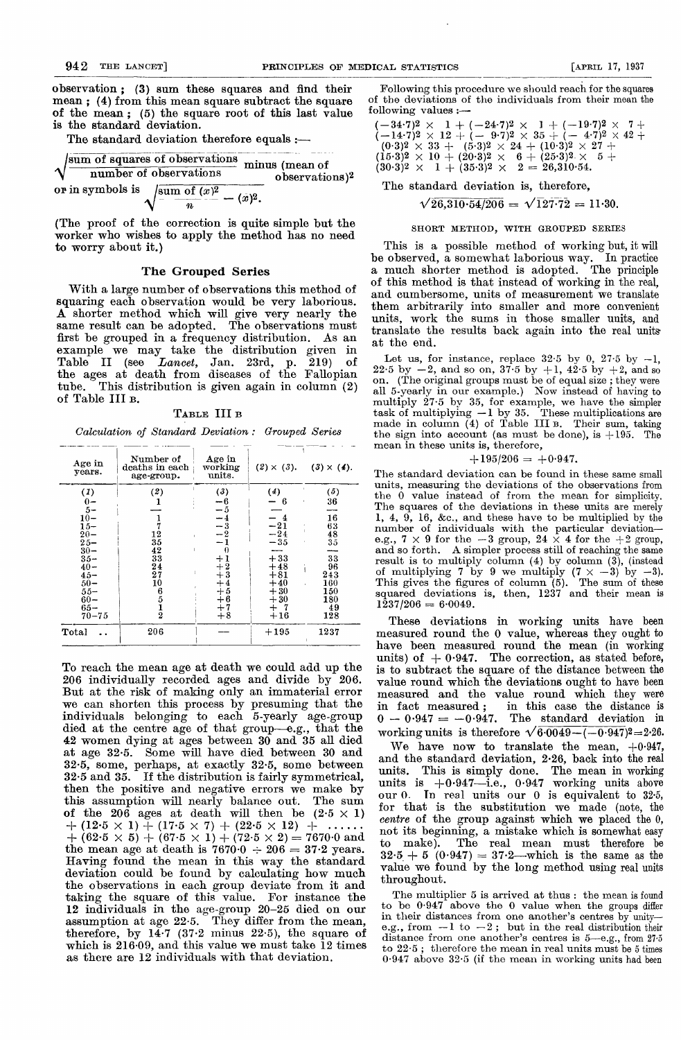[APRIL 17, 1937

observation ; (3) sum these squares and find their mean ; (4) from this mean square subtract the square of the mean ; (5) the square root of this last value is the standard deviation.

The standard deviation therefore equals :—

$$
\sqrt{\frac{\text{sum of squares of observations}}{\text{number of observations}}}
$$
 minus (mean of observations)<sup>2</sup>  
or in symbols is 
$$
\sqrt{\frac{\text{sum of } (x)^2}{n} - (x)^2}.
$$
  
(The proof of the correction is quite simple but the

(The proof of the correction is quite simple but the worker who wishes to apply the method has no need to worry about it.)

### The Grouped Series

With a large number of observations this method of squaring each observation would be very laborious. A shorter method which will give very nearly the same result can be adopted. The observations must first be grouped in a frequency distribution. As an example we may take the distribution given in Table II (see Lancet, Jan. 23rd, p. 219) of the ages at death from diseases of the Fallopian tube. This distribution is given again in column (2) of Table III B.

TABLE III B

Calculation of Standard Deviation : Grouped Series

| Age in<br>years.                                                                                                                                        | Number of<br>deaths in each<br>age-group.                                                                          | Age in<br>working<br>units.                                                                         | $(2) \times (3)$ .                                                                                          | $(3) \times (4)$ .                                                                          |
|---------------------------------------------------------------------------------------------------------------------------------------------------------|--------------------------------------------------------------------------------------------------------------------|-----------------------------------------------------------------------------------------------------|-------------------------------------------------------------------------------------------------------------|---------------------------------------------------------------------------------------------|
| (1)<br>$0-$<br>$5-$<br>$\frac{10}{15}$<br>$20 -$<br>$25 -$<br>$30 -$<br>$35 -$<br>$40 -$<br>$45 -$<br>$50 -$<br>$55 -$<br>$60 -$<br>$65 -$<br>$70 - 75$ | (2)<br>1<br>1<br>7<br>12<br>35<br>42<br>33<br>24<br>27<br>10<br>$\begin{smallmatrix} 6\ 5\ 1\ 2 \end{smallmatrix}$ | (3)<br>-6<br>- 5<br>$-3$<br>-2<br>0<br>$+1$<br>$+2$<br>$+3$<br>$+4$<br>$+5$<br>$+6$<br>$+7$<br>$+8$ | (4)<br>6<br>$-21$<br>$-24$<br>$-35$<br>$+33$<br>$+48$<br>$+81$<br>$+40$<br>$+30$<br>$+30$<br>$+$ 7<br>$+16$ | (5)<br>36<br>×<br>16<br>63<br>48<br>35<br>33<br>96<br>243<br>160<br>150<br>180<br>49<br>128 |
| Total                                                                                                                                                   | 206                                                                                                                |                                                                                                     | $+195$                                                                                                      | 1237                                                                                        |

To reach the mean age at death we could add up the 206 individually recorded ages and divide by 206. But at the risk of making only an immaterial error we can shorten this process by presuming that the individuals belonging to each 5-yearly age-group died at the centre age of that group—e.g., that the 42 women dying at ages between 30 and 35 all died at age 32-5. Some will have died between 30 and 32.5, some, perhaps, at exactly  $32.5$ , some between  $32.5$  and  $35$ . If the distribution is fairly symmetrical, If the distribution is fairly symmetrical, then the positive and negative errors we make by this assumption will nearly balance out. The sum of the 206 ages at death will then be  $(2.5 \times 1)$  $+$  (12.5  $\times$  1)  $+$  (17.5  $\times$  7) + (22.5  $\times$  12) + ......  $+ (62.5 \times 5) + (67.5 \times 1) + (72.5 \times 2) = 7670.0$  and the mean age at death is  $7670.0 \div 206 = 37.2$  years. Having found the mean in this way the standard deviation could be found by calculating how much the observations in each group deviate from it and taking the square of this value. For instance the 12 individuals in the age-group 20-25 died on our assumption at age 22-5. They differ from the mean, therefore, by  $14.7$  (37.2 minus 22.5), the square of which is 216-09, and this value we must take 12 times as there are 12 individuals with that deviation.

Following this procedure we should reach for the squares of the deviations of the individuals from their mean the following values :—

 $(-34.7)^2 \times 1 + (-24.7)^2 \times 1 + (-19.7)^2 \times 7+$  $(-14\cdot7)^2\times12+(-9\cdot7)^2\times35+(-4\cdot7)^2\times42+\ (0\cdot3)^2\times33+ (5\cdot3)^2\times24+ (10\cdot3)^2\times27+$  $(15.3)^2 \times 10 + (20.3)^2 \times 6 + (25.3)^2 \times 5 +$  $(30.3)^2 \times 1 + (35.3)^2 \times 2 = 26,310.54.$  $\begin{array}{rcl}\n & 2 & 3 & 4 \\
\hline\n & 6 & 10 & 4 \\
 & 1 & 35 \cdot 3)^2 \times 6 + (25 \cdot 3)^2 \times 5 + \\
 & 1 & 35 \cdot 3)^2 \times 2 = 26,310 \cdot 54.\n\end{array}$ <br>
andard deviation is, therefore,<br>  $\sqrt{26,310 \cdot 54/206} = \sqrt{127 \cdot 72} = 11 \cdot 30.$ 

The standard deviation is, therefore,

#### SHORT METHOD, WITH GROUPED SERIES

This is a possible method of working but, it will be observed, a somewhat laborious way. In practice a much shorter method is adopted. The principle of this method is that instead of working in the real, and cumbersome, units of measurement we translate them arbitrarily into smaller and more convenient units, work the sums in those smaller units, and translate the results back again into the real units' at the end.

Let us, for instance, replace  $32.5$  by 0,  $27.5$  by  $-1$ , 22.5 by  $-2$ , and so on,  $37.5$  by  $+1$ ,  $42.5$  by  $+2$ , and so on. (The original groups must be of equal size ; they were all 5-yearly in our example.) Now instead of having to multiply 27-5 by 35, for example, we have the simpler task of multiplying  $-1$  by 35. These multiplications are made in column (4) of Table III B. Their sum, taking the sign into account (as must be done), is  $+195$ . The mean in these units is, therefore,

$$
+195/206=+0.947.
$$

The standard deviation can be found in these same small units, measuring the deviations of the observations from the 0 value instead of from the mean for simplicity. The squares of the deviations in these units are merely 1, 4, 9, 16, &c., and these have to be multiplied by the number of individuals with the particular deviatione.g.,  $7 \times 9$  for the  $-3$  group,  $24 \times 4$  for the  $+2$  group, and so forth. A simpler process still of reaching the same result is to multiply column (4) by column (3), (instead of multiplying 7 by 9 we multiply  $(7 \times -3)$  by  $-3$ ). This gives the figures of column (5). The sum of these squared deviations is, then,  $1237$  and their mean is  $1\overline{2}37/206 = 6.0049.$ 

These deviations in working units have been measured round the 0 value, whereas they ought to have been measured round the mean (in working units) of  $+0.947$ . The correction, as stated before, is to subtract the square of the distance between the value round which the deviations ought to have been measured and the value round which they were<br>in fact measured; in this case the distance is in this case the distance is  $-0.947 = -0.947$ . The standard deviation in working units is therefore  $\sqrt{6.0049 - (-0.947)^2} = 2.26$ .

We have now to translate the mean,  $+0.947$ , and the standard deviation, 2.26, back into the real units. This is simply done. The mean in working units is  $+0.947$ —i.e.,  $0.947$  working units above our 0. Tn real units our 0 is equivalent to 32-5, for that is the substitution we made (note, the centre of the group against which we placed the 0, not its beginning, a mistake which is somewhat easy to make). The real mean must therefore be  $32.5 + 5 (0.947) = 37.2$ —which is the same as the value we found by the long method using real units throughout.

The multiplier 5 is arrived at thus: the mean is found to be  $0.947$  above the 0 value when the groups differ in their distances from one another's centres by unity-<br>e.g., from  $-1$  to  $-2$ ; but in the real distribution their distance from one another's centres is 5-e.g., from 27.5 to 22-5 ; therefore the mean in real units must be 5 times 0-947 above 32-5 (if the mean in working units had been